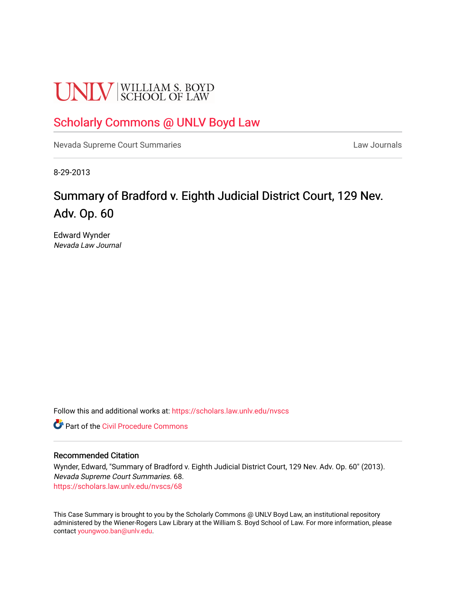# **UNLV** SCHOOL OF LAW

### [Scholarly Commons @ UNLV Boyd Law](https://scholars.law.unlv.edu/)

[Nevada Supreme Court Summaries](https://scholars.law.unlv.edu/nvscs) **Law Journals** Law Journals

8-29-2013

## Summary of Bradford v. Eighth Judicial District Court, 129 Nev. Adv. Op. 60

Edward Wynder Nevada Law Journal

Follow this and additional works at: [https://scholars.law.unlv.edu/nvscs](https://scholars.law.unlv.edu/nvscs?utm_source=scholars.law.unlv.edu%2Fnvscs%2F68&utm_medium=PDF&utm_campaign=PDFCoverPages)

**C** Part of the Civil Procedure Commons

#### Recommended Citation

Wynder, Edward, "Summary of Bradford v. Eighth Judicial District Court, 129 Nev. Adv. Op. 60" (2013). Nevada Supreme Court Summaries. 68. [https://scholars.law.unlv.edu/nvscs/68](https://scholars.law.unlv.edu/nvscs/68?utm_source=scholars.law.unlv.edu%2Fnvscs%2F68&utm_medium=PDF&utm_campaign=PDFCoverPages) 

This Case Summary is brought to you by the Scholarly Commons @ UNLV Boyd Law, an institutional repository administered by the Wiener-Rogers Law Library at the William S. Boyd School of Law. For more information, please contact [youngwoo.ban@unlv.edu](mailto:youngwoo.ban@unlv.edu).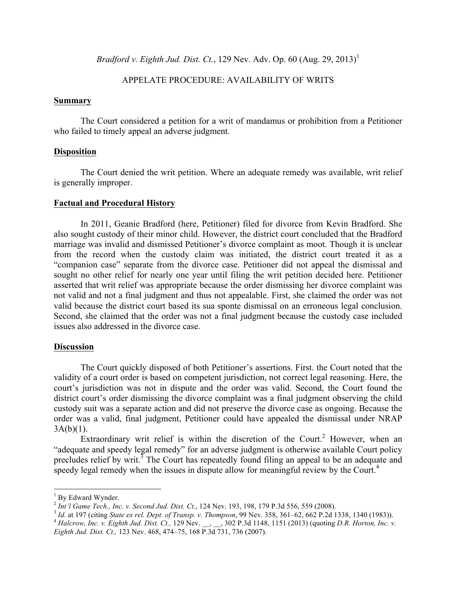*Bradford v. Eighth Jud. Dist. Ct.*, 129 Nev. Adv. Op. 60 (Aug. 29, 2013)<sup>1</sup>

#### APPELATE PROCEDURE: AVAILABILITY OF WRITS

#### **Summary**

The Court considered a petition for a writ of mandamus or prohibition from a Petitioner who failed to timely appeal an adverse judgment.

#### **Disposition**

The Court denied the writ petition. Where an adequate remedy was available, writ relief is generally improper.

#### **Factual and Procedural History**

In 2011, Geanie Bradford (here, Petitioner) filed for divorce from Kevin Bradford. She also sought custody of their minor child. However, the district court concluded that the Bradford marriage was invalid and dismissed Petitioner's divorce complaint as moot. Though it is unclear from the record when the custody claim was initiated, the district court treated it as a "companion case" separate from the divorce case. Petitioner did not appeal the dismissal and sought no other relief for nearly one year until filing the writ petition decided here. Petitioner asserted that writ relief was appropriate because the order dismissing her divorce complaint was not valid and not a final judgment and thus not appealable. First, she claimed the order was not valid because the district court based its sua sponte dismissal on an erroneous legal conclusion. Second, she claimed that the order was not a final judgment because the custody case included issues also addressed in the divorce case.

#### **Discussion**

The Court quickly disposed of both Petitioner's assertions. First. the Court noted that the validity of a court order is based on competent jurisdiction, not correct legal reasoning. Here, the court's jurisdiction was not in dispute and the order was valid. Second, the Court found the district court's order dismissing the divorce complaint was a final judgment observing the child custody suit was a separate action and did not preserve the divorce case as ongoing. Because the order was a valid, final judgment, Petitioner could have appealed the dismissal under NRAP  $3A(b)(1)$ .

Extraordinary writ relief is within the discretion of the Court.<sup>2</sup> However, when an "adequate and speedy legal remedy" for an adverse judgment is otherwise available Court policy precludes relief by writ.<sup>3</sup> The Court has repeatedly found filing an appeal to be an adequate and speedy legal remedy when the issues in dispute allow for meaningful review by the Court.<sup>4</sup>

<sup>&</sup>lt;sup>1</sup> By Edward Wynder.<br>
<sup>2</sup> *Int'l Game Tech., Inc. v. Second Jud. Dist. Ct.,* 124 Nev. 193, 198, 179 P.3d 556, 559 (2008).<br>
<sup>3</sup> *Id.* at 197 (citing *State ex rel. Dept. of Transp. v. Thompson,* 99 Nev. 358, 361–62, 662 P

*Eighth Jud. Dist. Ct.,* 123 Nev. 468, 474–75, 168 P.3d 731, 736 (2007).